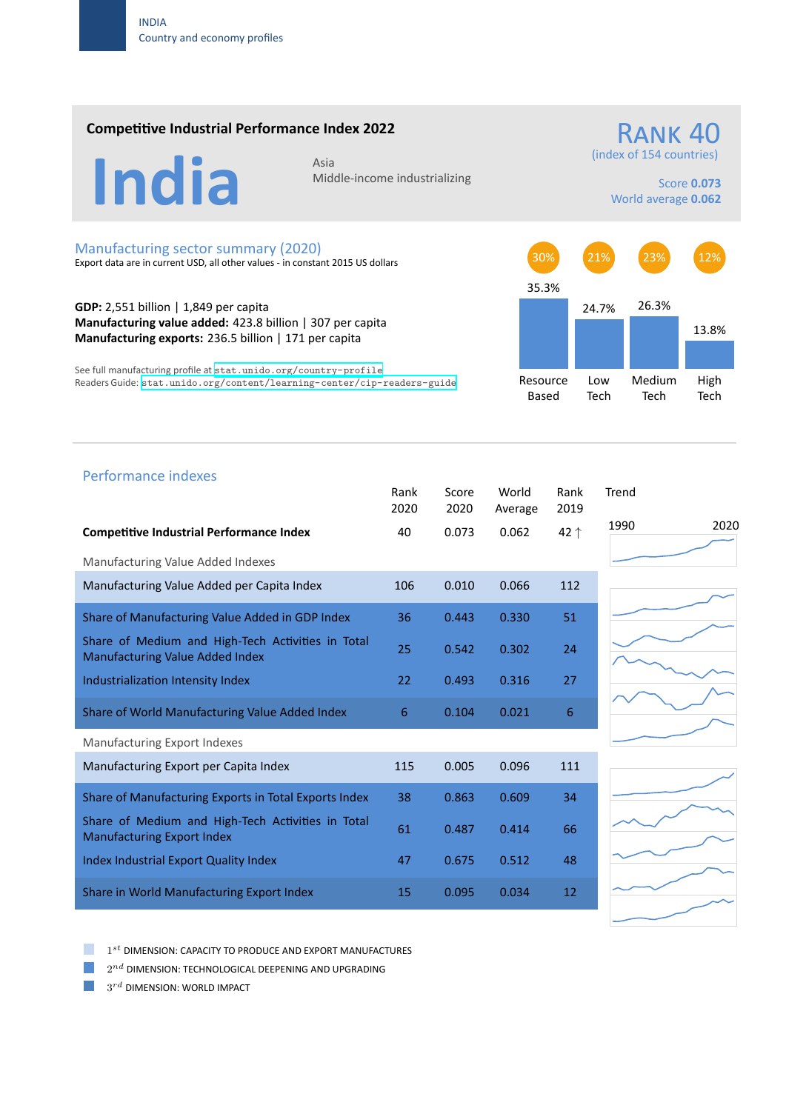### **Competitive Industrial Performance Index 2022**

# India Asia

Middle‐income industrializing

(index of 154 countries)

Score **0.073** World average **0.062**

RANK 40

#### Manufacturing sector summary (2020)

Export data are in current USD, all other values ‐ in constant 2015 US dollars

**GDP:** 2,551 billion | 1,849 per capita **Manufacturing value added:** 423.8 billion | 307 per capita **Manufacturing exports:** 236.5 billion | 171 per capita

See full manufacturing profile at stat.unido.org/country-profile Readers Guide: stat.unido.org/content/learning-center/cip-readers-guide



## 1990 2020 Performance indexes Rank Score World Rank Trend 2020 2020 Average 2019 **Competitive Industrial Performance Index** 40 0.073 0.062 42 *↑* Manufacturing Value Added Indexes Manufacturing Value Added per Capita Index 106 0.010 0.066 112 Share of Manufacturing Value Added in GDP Index 36 0.443 0.330 51 Share of Medium and High‐Tech Activities in Total Share of Medium and High-fech Activities in Total 25 0.542 0.302 24 Industrialization Intensity Index 22 0.493 0.316 27 Share of World Manufacturing Value Added Index  $6$  0.104 0.021 6 Manufacturing Export Indexes Manufacturing Export per Capita Index 115 0.005 0.006 111 Share of Manufacturing Exports in Total Exports Index 38 0.863 0.609 34 Share of Medium and High‐Tech Activities in Total Share of Medium and High-fech Activities in fotal 61 6.487 0.414 66 Index Industrial Export Quality Index 47 0.675 0.512 48 Share in World Manufacturing Export Index 15 0.095 0.034 12

1 *st* DIMENSION: CAPACITY TO PRODUCE AND EXPORT MANUFACTURES

 $2^{nd}$  DIMENSION: TECHNOLOGICAL DEEPENING AND UPGRADING

 $3^{rd}$  DIMENSION: WORLD IMPACT